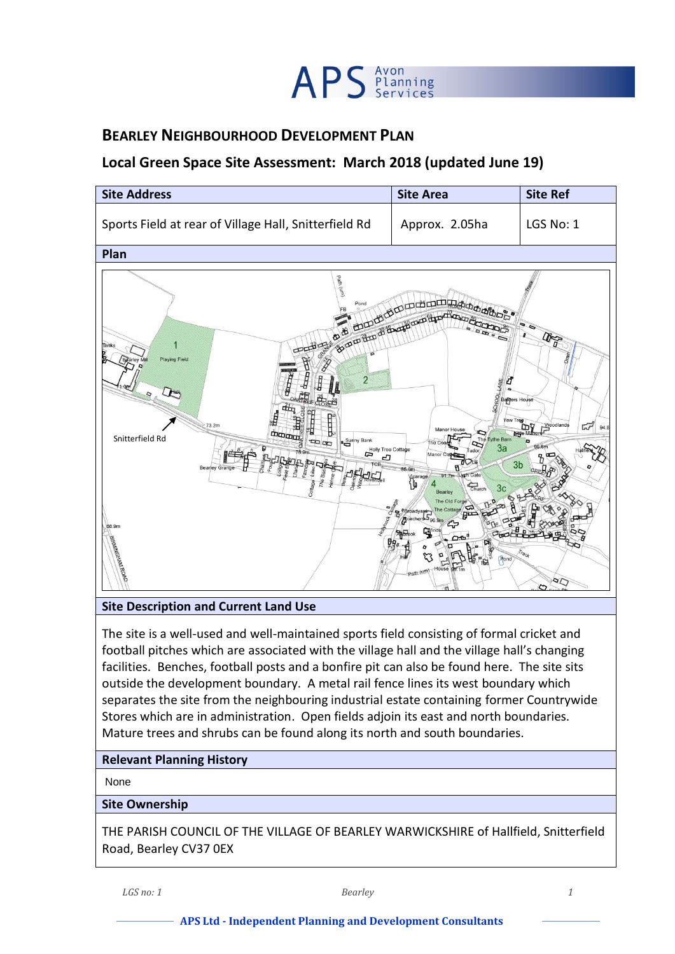

# **BEARLEY NEIGHBOURHOOD DEVELOPMENT PLAN**

# **Local Green Space Site Assessment: March 2018 (updated June 19)**



#### **Site Description and Current Land Use**

The site is a well-used and well-maintained sports field consisting of formal cricket and football pitches which are associated with the village hall and the village hall's changing facilities. Benches, football posts and a bonfire pit can also be found here. The site sits outside the development boundary. A metal rail fence lines its west boundary which separates the site from the neighbouring industrial estate containing former Countrywide Stores which are in administration. Open fields adjoin its east and north boundaries. Mature trees and shrubs can be found along its north and south boundaries.

### **Relevant Planning History**

None

#### **Site Ownership**

THE PARISH COUNCIL OF THE VILLAGE OF BEARLEY WARWICKSHIRE of Hallfield, Snitterfield Road, Bearley CV37 0EX

*LGS no: 1 Bearley 1*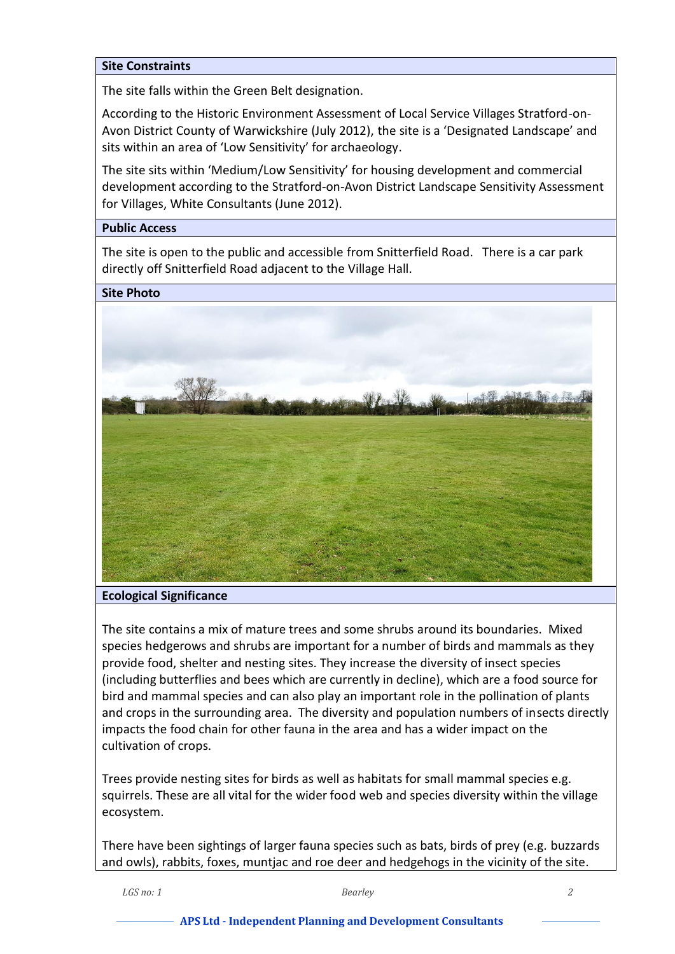### **Site Constraints**

The site falls within the Green Belt designation.

According to the Historic Environment Assessment of Local Service Villages Stratford-on-Avon District County of Warwickshire (July 2012), the site is a 'Designated Landscape' and sits within an area of 'Low Sensitivity' for archaeology.

The site sits within 'Medium/Low Sensitivity' for housing development and commercial development according to the Stratford-on-Avon District Landscape Sensitivity Assessment for Villages, White Consultants (June 2012).

## **Public Access**

The site is open to the public and accessible from Snitterfield Road. There is a car park directly off Snitterfield Road adjacent to the Village Hall.

**Site Photo**



#### **Ecological Significance**

The site contains a mix of mature trees and some shrubs around its boundaries. Mixed species hedgerows and shrubs are important for a number of birds and mammals as they provide food, shelter and nesting sites. They increase the diversity of insect species (including butterflies and bees which are currently in decline), which are a food source for bird and mammal species and can also play an important role in the pollination of plants and crops in the surrounding area. The diversity and population numbers of insects directly impacts the food chain for other fauna in the area and has a wider impact on the cultivation of crops.

Trees provide nesting sites for birds as well as habitats for small mammal species e.g. squirrels. These are all vital for the wider food web and species diversity within the village ecosystem.

There have been sightings of larger fauna species such as bats, birds of prey (e.g. buzzards and owls), rabbits, foxes, muntjac and roe deer and hedgehogs in the vicinity of the site.

*LGS no: 1 Bearley 2*

#### **APS Ltd - Independent Planning and Development Consultants**